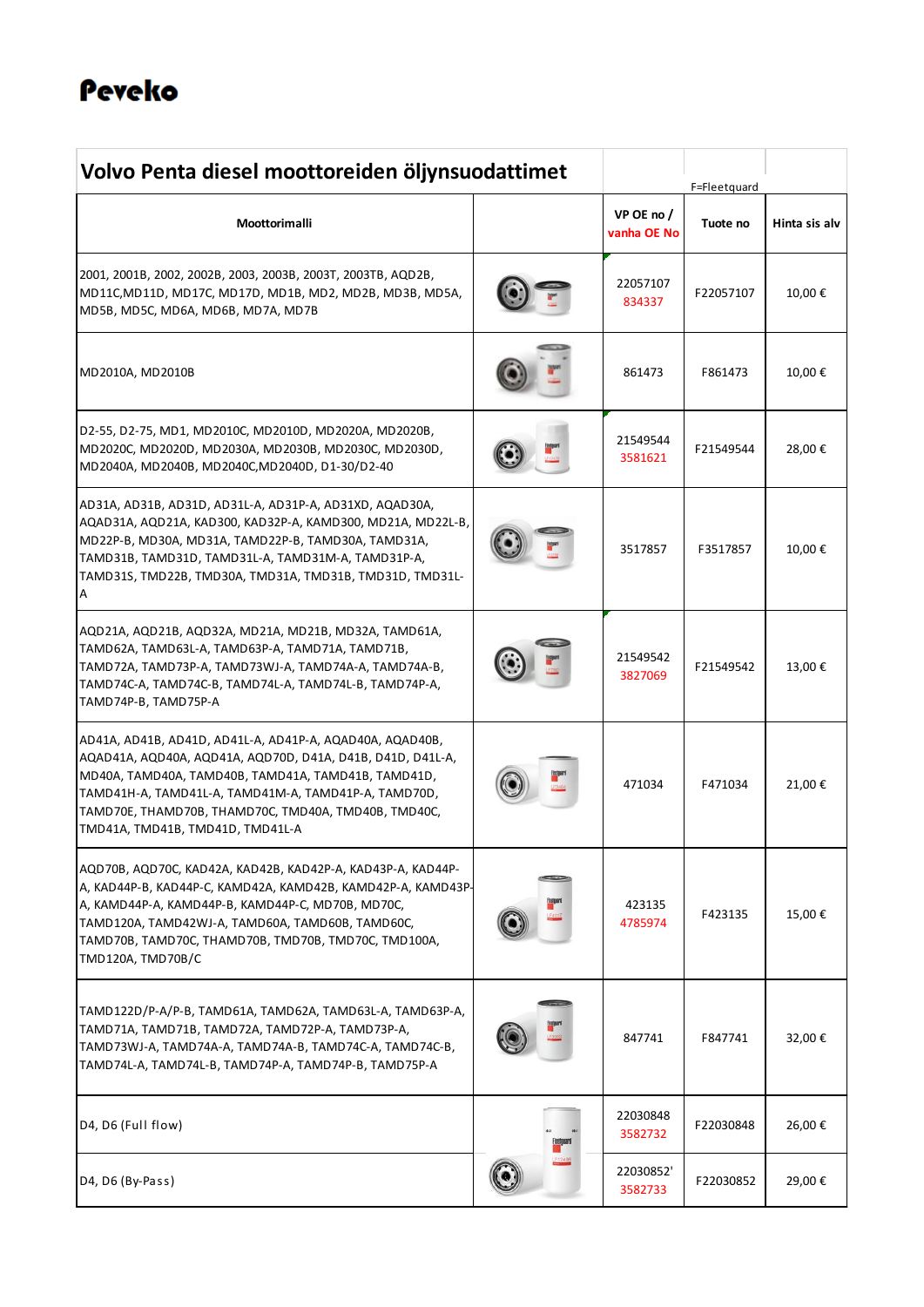# Peveko

| Volvo Penta diesel moottoreiden öljynsuodattimet                                                                                                                                                                                                                                                                                  |  | F=Fleetquard              |           |               |
|-----------------------------------------------------------------------------------------------------------------------------------------------------------------------------------------------------------------------------------------------------------------------------------------------------------------------------------|--|---------------------------|-----------|---------------|
| Moottorimalli                                                                                                                                                                                                                                                                                                                     |  | VP OE no /<br>vanha OE No | Tuote no  | Hinta sis alv |
| 2001, 2001B, 2002, 2002B, 2003, 2003B, 2003T, 2003TB, AQD2B,<br>MD11C, MD11D, MD17C, MD17D, MD1B, MD2, MD2B, MD3B, MD5A,<br>MD5B, MD5C, MD6A, MD6B, MD7A, MD7B                                                                                                                                                                    |  | 22057107<br>834337        | F22057107 | 10,00€        |
| MD2010A, MD2010B                                                                                                                                                                                                                                                                                                                  |  | 861473                    | F861473   | 10,00€        |
| D2-55, D2-75, MD1, MD2010C, MD2010D, MD2020A, MD2020B,<br>MD2020C, MD2020D, MD2030A, MD2030B, MD2030C, MD2030D,<br>MD2040A, MD2040B, MD2040C, MD2040D, D1-30/D2-40                                                                                                                                                                |  | 21549544<br>3581621       | F21549544 | 28,00€        |
| AD31A, AD31B, AD31D, AD31L-A, AD31P-A, AD31XD, AQAD30A,<br>AQAD31A, AQD21A, KAD300, KAD32P-A, KAMD300, MD21A, MD22L-B,<br>MD22P-B, MD30A, MD31A, TAMD22P-B, TAMD30A, TAMD31A,<br>TAMD31B, TAMD31D, TAMD31L-A, TAMD31M-A, TAMD31P-A,<br>TAMD31S, TMD22B, TMD30A, TMD31A, TMD31B, TMD31D, TMD31L-<br>Α                              |  | 3517857                   | F3517857  | 10,00€        |
| AQD21A, AQD21B, AQD32A, MD21A, MD21B, MD32A, TAMD61A,<br>TAMD62A, TAMD63L-A, TAMD63P-A, TAMD71A, TAMD71B,<br>TAMD72A, TAMD73P-A, TAMD73WJ-A, TAMD74A-A, TAMD74A-B,<br>TAMD74C-A, TAMD74C-B, TAMD74L-A, TAMD74L-B, TAMD74P-A,<br>TAMD74P-B, TAMD75P-A                                                                              |  | 21549542<br>3827069       | F21549542 | 13,00€        |
| AD41A, AD41B, AD41D, AD41L-A, AD41P-A, AQAD40A, AQAD40B,<br>AQAD41A, AQD40A, AQD41A, AQD70D, D41A, D41B, D41D, D41L-A,<br>MD40A, TAMD40A, TAMD40B, TAMD41A, TAMD41B, TAMD41D,<br>TAMD41H-A, TAMD41L-A, TAMD41M-A, TAMD41P-A, TAMD70D,<br>TAMD70E, THAMD70B, THAMD70C, TMD40A, TMD40B, TMD40C,<br>TMD41A, TMD41B, TMD41D, TMD41L-A |  | 471034                    | F471034   | 21,00€        |
| AQD70B, AQD70C, KAD42A, KAD42B, KAD42P-A, KAD43P-A, KAD44P-<br>A, KAD44P-B, KAD44P-C, KAMD42A, KAMD42B, KAMD42P-A, KAMD43P-<br>A, KAMD44P-A, KAMD44P-B, KAMD44P-C, MD70B, MD70C,<br>TAMD120A, TAMD42WJ-A, TAMD60A, TAMD60B, TAMD60C,<br>TAMD70B, TAMD70C, THAMD70B, TMD70B, TMD70C, TMD100A,<br>TMD120A, TMD70B/C                 |  | 423135<br>4785974         | F423135   | 15,00€        |
| TAMD122D/P-A/P-B, TAMD61A, TAMD62A, TAMD63L-A, TAMD63P-A,<br>TAMD71A, TAMD71B, TAMD72A, TAMD72P-A, TAMD73P-A,<br>TAMD73WJ-A, TAMD74A-A, TAMD74A-B, TAMD74C-A, TAMD74C-B,<br>TAMD74L-A, TAMD74L-B, TAMD74P-A, TAMD74P-B, TAMD75P-A                                                                                                 |  | 847741                    | F847741   | 32,00€        |
| D4, D6 (Full flow)                                                                                                                                                                                                                                                                                                                |  | 22030848<br>3582732       | F22030848 | 26,00€        |
| D4, D6 (By-Pass)                                                                                                                                                                                                                                                                                                                  |  | 22030852'<br>3582733      | F22030852 | 29,00€        |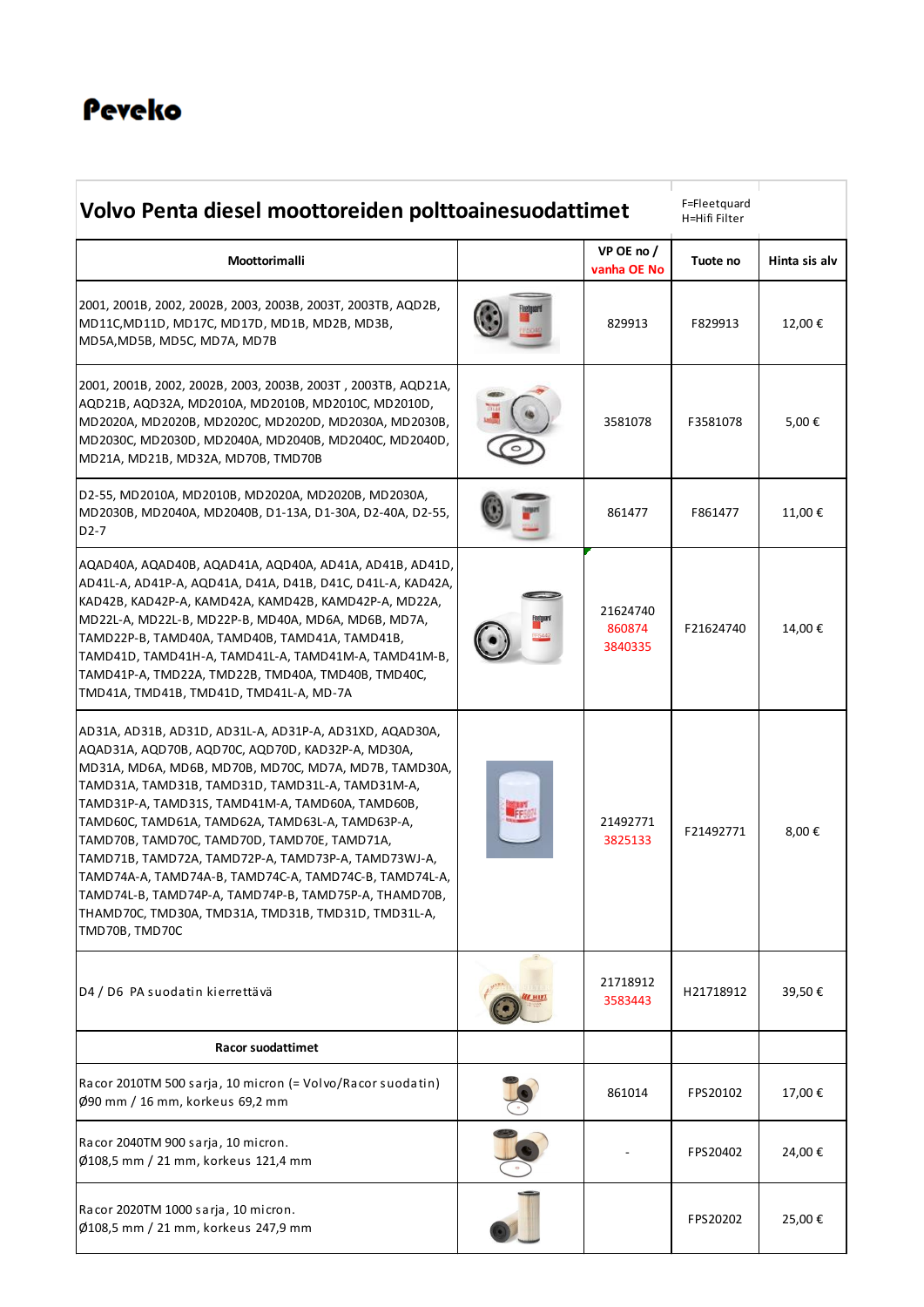### Peveko

| Volvo Penta diesel moottoreiden polttoainesuodattimet                                                                                                                                                                                                                                                                                                                                                                                                                                                                                                                                                                                |  |                               | F=Fleetquard<br>H=Hifi Filter |               |
|--------------------------------------------------------------------------------------------------------------------------------------------------------------------------------------------------------------------------------------------------------------------------------------------------------------------------------------------------------------------------------------------------------------------------------------------------------------------------------------------------------------------------------------------------------------------------------------------------------------------------------------|--|-------------------------------|-------------------------------|---------------|
| Moottorimalli                                                                                                                                                                                                                                                                                                                                                                                                                                                                                                                                                                                                                        |  | VP OE no/<br>vanha OE No      | Tuote no                      | Hinta sis alv |
| 2001, 2001В, 2002, 2002В, 2003, 2003В, 2003Т, 2003ТВ, АQD2В,<br>MD11C, MD11D, MD17C, MD17D, MD1B, MD2B, MD3B,<br>MD5A, MD5B, MD5C, MD7A, MD7B                                                                                                                                                                                                                                                                                                                                                                                                                                                                                        |  | 829913                        | F829913                       | 12,00 €       |
| 2001, 2001B, 2002, 2002B, 2003, 2003B, 2003T, 2003TB, AQD21A,<br>AQD21B, AQD32A, MD2010A, MD2010B, MD2010C, MD2010D,<br>MD2020A, MD2020B, MD2020C, MD2020D, MD2030A, MD2030B,<br>MD2030C, MD2030D, MD2040A, MD2040B, MD2040C, MD2040D,<br>MD21A, MD21B, MD32A, MD70B, TMD70B                                                                                                                                                                                                                                                                                                                                                         |  | 3581078                       | F3581078                      | 5,00€         |
| D2-55, MD2010A, MD2010B, MD2020A, MD2020B, MD2030A,<br>MD2030B, MD2040A, MD2040B, D1-13A, D1-30A, D2-40A, D2-55,<br>$D2-7$                                                                                                                                                                                                                                                                                                                                                                                                                                                                                                           |  | 861477                        | F861477                       | 11,00€        |
| AQAD40A, AQAD40B, AQAD41A, AQD40A, AD41A, AD41B, AD41D,<br>AD41L-A, AD41P-A, AQD41A, D41A, D41B, D41C, D41L-A, KAD42A,<br>KAD42B, KAD42P-A, KAMD42A, KAMD42B, KAMD42P-A, MD22A,<br>MD22L-A, MD22L-B, MD22P-B, MD40A, MD6A, MD6B, MD7A,<br>TAMD22P-B, TAMD40A, TAMD40B, TAMD41A, TAMD41B,<br>TAMD41D, TAMD41H-A, TAMD41L-A, TAMD41M-A, TAMD41M-B,<br>TAMD41P-A, TMD22A, TMD22B, TMD40A, TMD40B, TMD40C,<br>TMD41A, TMD41B, TMD41D, TMD41L-A, MD-7A                                                                                                                                                                                    |  | 21624740<br>860874<br>3840335 | F21624740                     | 14,00€        |
| AD31A, AD31B, AD31D, AD31L-A, AD31P-A, AD31XD, AQAD30A,<br>AQAD31A, AQD70B, AQD70C, AQD70D, KAD32P-A, MD30A,<br>MD31A, MD6A, MD6B, MD70B, MD70C, MD7A, MD7B, TAMD30A,<br>TAMD31A, TAMD31B, TAMD31D, TAMD31L-A, TAMD31M-A,<br>TAMD31P-A, TAMD31S, TAMD41M-A, TAMD60A, TAMD60B,<br>TAMD60C, TAMD61A, TAMD62A, TAMD63L-A, TAMD63P-A,<br>TAMD70B, TAMD70C, TAMD70D, TAMD70E, TAMD71A,<br>TAMD71B, TAMD72A, TAMD72P-A, TAMD73P-A, TAMD73WJ-A,<br>TAMD74A-A, TAMD74A-B, TAMD74C-A, TAMD74C-B, TAMD74L-A,<br>TAMD74L-B, TAMD74P-A, TAMD74P-B, TAMD75P-A, THAMD70B,<br>THAMD70C, TMD30A, TMD31A, TMD31B, TMD31D, TMD31L-A,<br>TMD70B, TMD70C |  | 21492771<br>3825133           | F21492771                     | 8,00€         |
| D4 / D6 PA suodatin kierrettävä                                                                                                                                                                                                                                                                                                                                                                                                                                                                                                                                                                                                      |  | 21718912<br>3583443           | H21718912                     | 39,50€        |
| <b>Racor suodattimet</b>                                                                                                                                                                                                                                                                                                                                                                                                                                                                                                                                                                                                             |  |                               |                               |               |
| Racor 2010TM 500 sarja, 10 micron (= Volvo/Racor suodatin)<br>Ø90 mm / 16 mm, korkeus 69,2 mm                                                                                                                                                                                                                                                                                                                                                                                                                                                                                                                                        |  | 861014                        | FPS20102                      | 17,00€        |
| Racor 2040TM 900 sarja, 10 micron.<br>Ø108,5 mm / 21 mm, korkeus 121,4 mm                                                                                                                                                                                                                                                                                                                                                                                                                                                                                                                                                            |  |                               | FPS20402                      | 24,00€        |
| Racor 2020TM 1000 sarja, 10 micron.<br>Ø108,5 mm / 21 mm, korkeus 247,9 mm                                                                                                                                                                                                                                                                                                                                                                                                                                                                                                                                                           |  |                               | FPS20202                      | 25,00€        |